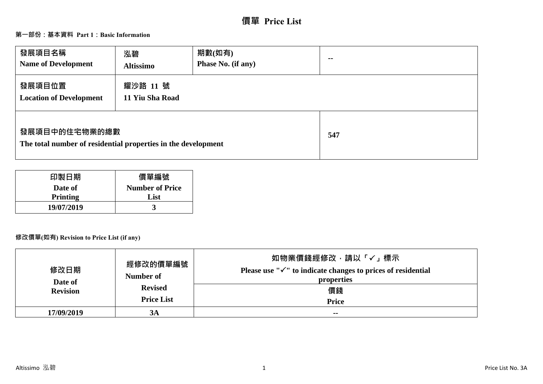# **價單 Price List**

## **第一部份:基本資料 Part 1:Basic Information**

| 發展項目名稱<br><b>Name of Development</b>                                           | 泓碧<br><b>Altissimo</b>      | 期數(如有)<br>Phase No. (if any) | $\sim$ $\sim$ |
|--------------------------------------------------------------------------------|-----------------------------|------------------------------|---------------|
| 發展項目位置<br><b>Location of Development</b>                                       | 耀沙路 11 號<br>11 Yiu Sha Road |                              |               |
| 發展項目中的住宅物業的總數<br>The total number of residential properties in the development |                             |                              | 547           |

| 印製日期            | 價單編號                   |
|-----------------|------------------------|
| Date of         | <b>Number of Price</b> |
| <b>Printing</b> | List                   |
| 19/07/2019      |                        |

## **修改價單(如有) Revision to Price List (if any)**

| 修改日期<br>Date of<br><b>Revision</b> | 經修改的價單編號<br>Number of<br><b>Revised</b><br><b>Price List</b> | 如物業價錢經修改,請以「√」標示<br>Please use " $\checkmark$ " to indicate changes to prices of residential<br>properties<br>價錢<br><b>Price</b> |
|------------------------------------|--------------------------------------------------------------|----------------------------------------------------------------------------------------------------------------------------------|
| 17/09/2019                         | <b>3A</b>                                                    | $- -$                                                                                                                            |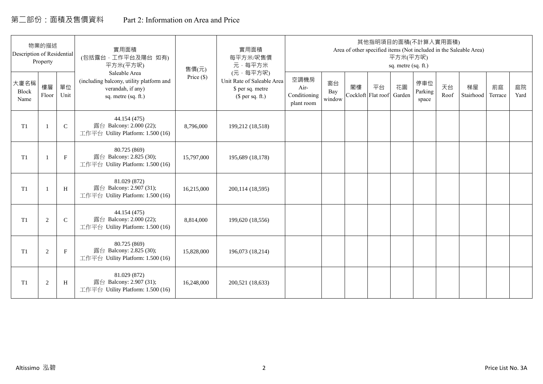## 第二部份:面積及售價資料 Part 2: Information on Area and Price

| Description of Residential | 物業的描述<br>Property        |              | 實用面積<br>(包括露台,工作平台及陽台 如有)<br>平方米(平方呎)                                                                 | 售價(元)        | 實用面積<br>每平方米/呎售價<br>元·每平方米                                                     |                                            |                     |                          |    | 平方米(平方呎)<br>sq. metre (sq. ft.) | 其他指明項目的面積(不計算入實用面積)     |            | Area of other specified items (Not included in the Saleable Area) |               |            |
|----------------------------|--------------------------|--------------|-------------------------------------------------------------------------------------------------------|--------------|--------------------------------------------------------------------------------|--------------------------------------------|---------------------|--------------------------|----|---------------------------------|-------------------------|------------|-------------------------------------------------------------------|---------------|------------|
| 大廈名稱<br>Block<br>Name      | 樓層<br>Floor              | 單位<br>Unit   | Saleable Area<br>(including balcony, utility platform and<br>verandah, if any)<br>sq. metre (sq. ft.) | Price $(\$)$ | (元·每平方呎)<br>Unit Rate of Saleable Area<br>\$ per sq. metre<br>$$$ per sq. ft.) | 空調機房<br>Air-<br>Conditioning<br>plant room | 窗台<br>Bay<br>window | 閣樓<br>Cockloft Flat roof | 平台 | 花園<br>Garden                    | 停車位<br>Parking<br>space | 天台<br>Roof | 梯屋<br>Stairhood                                                   | 前庭<br>Terrace | 庭院<br>Yard |
| T1                         | $\overline{\phantom{0}}$ | $\mathsf{C}$ | 44.154 (475)<br>露台 Balcony: 2.000 (22);<br>工作平台 Utility Platform: 1.500 (16)                          | 8,796,000    | 199,212 (18,518)                                                               |                                            |                     |                          |    |                                 |                         |            |                                                                   |               |            |
| T1                         |                          | $\mathbf{F}$ | 80.725 (869)<br>露台 Balcony: 2.825 (30);<br>工作平台 Utility Platform: 1.500 (16)                          | 15,797,000   | 195,689 (18,178)                                                               |                                            |                     |                          |    |                                 |                         |            |                                                                   |               |            |
| T1                         |                          | H            | 81.029 (872)<br>露台 Balcony: 2.907 (31);<br>工作平台 Utility Platform: 1.500 (16)                          | 16,215,000   | 200,114 (18,595)                                                               |                                            |                     |                          |    |                                 |                         |            |                                                                   |               |            |
| T1                         | 2                        | $\mathsf{C}$ | 44.154 (475)<br>露台 Balcony: 2.000 (22);<br>工作平台 Utility Platform: 1.500 (16)                          | 8,814,000    | 199,620 (18,556)                                                               |                                            |                     |                          |    |                                 |                         |            |                                                                   |               |            |
| T <sub>1</sub>             | 2                        | $_{\rm F}$   | 80.725 (869)<br>露台 Balcony: 2.825 (30);<br>工作平台 Utility Platform: 1.500 (16)                          | 15,828,000   | 196,073 (18,214)                                                               |                                            |                     |                          |    |                                 |                         |            |                                                                   |               |            |
| T1                         | 2                        | H            | 81.029 (872)<br>露台 Balcony: 2.907 (31);<br>工作平台 Utility Platform: 1.500 (16)                          | 16,248,000   | 200,521 (18,633)                                                               |                                            |                     |                          |    |                                 |                         |            |                                                                   |               |            |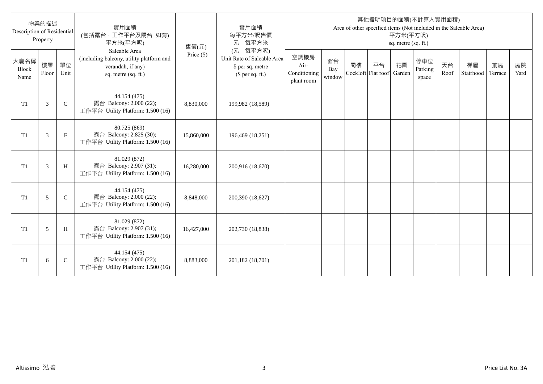| Description of Residential   | 物業的描述<br>Property |              | 實用面積<br>(包括露台,工作平台及陽台 如有)<br>平方米(平方呎)                                                                 | 售價(元)      | 實用面積<br>每平方米/呎售價<br>元·每平方米                                                     |                                            |                     |    |                                 | 平方米(平方呎)<br>sq. metre (sq. ft.) | 其他指明項目的面積(不計算入實用面積)     |            | Area of other specified items (Not included in the Saleable Area) |               |            |
|------------------------------|-------------------|--------------|-------------------------------------------------------------------------------------------------------|------------|--------------------------------------------------------------------------------|--------------------------------------------|---------------------|----|---------------------------------|---------------------------------|-------------------------|------------|-------------------------------------------------------------------|---------------|------------|
| 大廈名稱<br><b>Block</b><br>Name | 樓層<br>Floor       | 單位<br>Unit   | Saleable Area<br>(including balcony, utility platform and<br>verandah, if any)<br>sq. metre (sq. ft.) | Price (\$) | (元·每平方呎)<br>Unit Rate of Saleable Area<br>\$ per sq. metre<br>$$$ per sq. ft.) | 空調機房<br>Air-<br>Conditioning<br>plant room | 窗台<br>Bay<br>window | 閣樓 | 平台<br>Cockloft Flat roof Garden | 花園                              | 停車位<br>Parking<br>space | 天台<br>Roof | 梯屋<br>Stairhood                                                   | 前庭<br>Terrace | 庭院<br>Yard |
| T <sub>1</sub>               | 3                 | $\mathbf C$  | 44.154 (475)<br>露台 Balcony: 2.000 (22);<br>工作平台 Utility Platform: 1.500 (16)                          | 8,830,000  | 199,982 (18,589)                                                               |                                            |                     |    |                                 |                                 |                         |            |                                                                   |               |            |
| T <sub>1</sub>               | 3                 | $\mathbf{F}$ | 80.725 (869)<br>露台 Balcony: 2.825 (30);<br>工作平台 Utility Platform: 1.500 (16)                          | 15,860,000 | 196,469 (18,251)                                                               |                                            |                     |    |                                 |                                 |                         |            |                                                                   |               |            |
| T1                           | 3                 | H            | 81.029 (872)<br>露台 Balcony: 2.907 (31);<br>工作平台 Utility Platform: 1.500 (16)                          | 16,280,000 | 200,916 (18,670)                                                               |                                            |                     |    |                                 |                                 |                         |            |                                                                   |               |            |
| T <sub>1</sub>               | 5                 | $\mathsf{C}$ | 44.154 (475)<br>露台 Balcony: 2.000 (22);<br>工作平台 Utility Platform: 1.500 (16)                          | 8,848,000  | 200,390 (18,627)                                                               |                                            |                     |    |                                 |                                 |                         |            |                                                                   |               |            |
| T <sub>1</sub>               | 5                 | H            | 81.029 (872)<br>露台 Balcony: 2.907 (31);<br>工作平台 Utility Platform: 1.500 (16)                          | 16,427,000 | 202,730 (18,838)                                                               |                                            |                     |    |                                 |                                 |                         |            |                                                                   |               |            |
| T1                           | 6                 | $\mathsf{C}$ | 44.154 (475)<br>露台 Balcony: 2.000 (22);<br>工作平台 Utility Platform: 1.500 (16)                          | 8,883,000  | 201,182 (18,701)                                                               |                                            |                     |    |                                 |                                 |                         |            |                                                                   |               |            |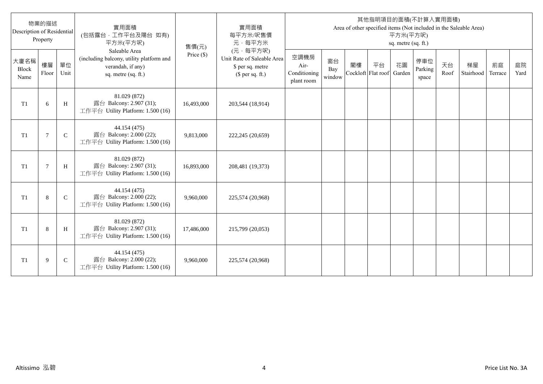| Description of Residential   | 物業的描述<br>Property |              | 實用面積<br>(包括露台,工作平台及陽台 如有)<br>平方米(平方呎)                                                                 | 售價(元)      | 實用面積<br>每平方米/呎售價<br>元·每平方米                                                     |                                            |                     |    |                                 | 平方米(平方呎)<br>sq. metre (sq. ft.) | 其他指明項目的面積(不計算入實用面積)     |            | Area of other specified items (Not included in the Saleable Area) |               |            |
|------------------------------|-------------------|--------------|-------------------------------------------------------------------------------------------------------|------------|--------------------------------------------------------------------------------|--------------------------------------------|---------------------|----|---------------------------------|---------------------------------|-------------------------|------------|-------------------------------------------------------------------|---------------|------------|
| 大廈名稱<br><b>Block</b><br>Name | 樓層<br>Floor       | 單位<br>Unit   | Saleable Area<br>(including balcony, utility platform and<br>verandah, if any)<br>sq. metre (sq. ft.) | Price (\$) | (元·每平方呎)<br>Unit Rate of Saleable Area<br>\$ per sq. metre<br>$$$ per sq. ft.) | 空調機房<br>Air-<br>Conditioning<br>plant room | 窗台<br>Bay<br>window | 閣樓 | 平台<br>Cockloft Flat roof Garden | 花園                              | 停車位<br>Parking<br>space | 天台<br>Roof | 梯屋<br>Stairhood                                                   | 前庭<br>Terrace | 庭院<br>Yard |
| T <sub>1</sub>               | 6                 | H            | 81.029 (872)<br>露台 Balcony: 2.907 (31);<br>工作平台 Utility Platform: 1.500 (16)                          | 16,493,000 | 203,544 (18,914)                                                               |                                            |                     |    |                                 |                                 |                         |            |                                                                   |               |            |
| T <sub>1</sub>               | $\overline{7}$    | $\mathsf{C}$ | 44.154 (475)<br>露台 Balcony: 2.000 (22);<br>工作平台 Utility Platform: 1.500 (16)                          | 9,813,000  | 222,245 (20,659)                                                               |                                            |                     |    |                                 |                                 |                         |            |                                                                   |               |            |
| T1                           | $\overline{7}$    | H            | 81.029 (872)<br>露台 Balcony: 2.907 (31);<br>工作平台 Utility Platform: 1.500 (16)                          | 16,893,000 | 208,481 (19,373)                                                               |                                            |                     |    |                                 |                                 |                         |            |                                                                   |               |            |
| T <sub>1</sub>               | 8                 | $\mathsf{C}$ | 44.154 (475)<br>露台 Balcony: 2.000 (22);<br>工作平台 Utility Platform: 1.500 (16)                          | 9,960,000  | 225,574 (20,968)                                                               |                                            |                     |    |                                 |                                 |                         |            |                                                                   |               |            |
| T1                           | 8                 | H            | 81.029 (872)<br>露台 Balcony: 2.907 (31);<br>工作平台 Utility Platform: 1.500 (16)                          | 17,486,000 | 215,799 (20,053)                                                               |                                            |                     |    |                                 |                                 |                         |            |                                                                   |               |            |
| T1                           | 9                 | $\mathsf{C}$ | 44.154 (475)<br>露台 Balcony: 2.000 (22);<br>工作平台 Utility Platform: 1.500 (16)                          | 9,960,000  | 225,574 (20,968)                                                               |                                            |                     |    |                                 |                                 |                         |            |                                                                   |               |            |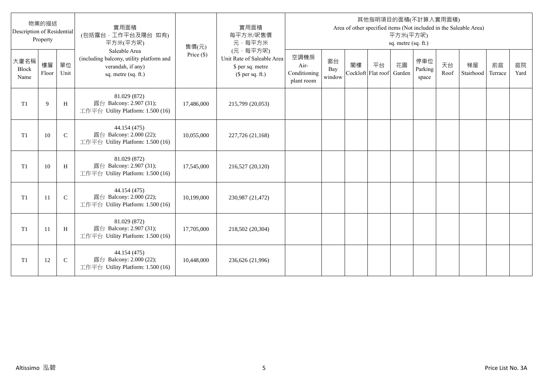| Description of Residential   | 物業的描述<br>Property |              | 實用面積<br>(包括露台,工作平台及陽台 如有)<br>平方米(平方呎)                                                                 | 售價(元)      | 實用面積<br>每平方米/呎售價<br>元·每平方米                                                     |                                            |                     |    |                                 | 平方米(平方呎)<br>sq. metre (sq. ft.) | 其他指明項目的面積(不計算入實用面積)     |            | Area of other specified items (Not included in the Saleable Area) |               |            |
|------------------------------|-------------------|--------------|-------------------------------------------------------------------------------------------------------|------------|--------------------------------------------------------------------------------|--------------------------------------------|---------------------|----|---------------------------------|---------------------------------|-------------------------|------------|-------------------------------------------------------------------|---------------|------------|
| 大廈名稱<br><b>Block</b><br>Name | 樓層<br>Floor       | 單位<br>Unit   | Saleable Area<br>(including balcony, utility platform and<br>verandah, if any)<br>sq. metre (sq. ft.) | Price (\$) | (元·每平方呎)<br>Unit Rate of Saleable Area<br>\$ per sq. metre<br>$$$ per sq. ft.) | 空調機房<br>Air-<br>Conditioning<br>plant room | 窗台<br>Bay<br>window | 閣樓 | 平台<br>Cockloft Flat roof Garden | 花園                              | 停車位<br>Parking<br>space | 天台<br>Roof | 梯屋<br>Stairhood                                                   | 前庭<br>Terrace | 庭院<br>Yard |
| T <sub>1</sub>               | 9                 | H            | 81.029 (872)<br>露台 Balcony: 2.907 (31);<br>工作平台 Utility Platform: 1.500 (16)                          | 17,486,000 | 215,799 (20,053)                                                               |                                            |                     |    |                                 |                                 |                         |            |                                                                   |               |            |
| T <sub>1</sub>               | 10                | $\mathsf{C}$ | 44.154 (475)<br>露台 Balcony: 2.000 (22);<br>工作平台 Utility Platform: 1.500 (16)                          | 10,055,000 | 227,726 (21,168)                                                               |                                            |                     |    |                                 |                                 |                         |            |                                                                   |               |            |
| T1                           | 10                | H            | 81.029 (872)<br>露台 Balcony: 2.907 (31);<br>工作平台 Utility Platform: 1.500 (16)                          | 17,545,000 | 216,527 (20,120)                                                               |                                            |                     |    |                                 |                                 |                         |            |                                                                   |               |            |
| T <sub>1</sub>               | 11                | $\mathsf{C}$ | 44.154 (475)<br>露台 Balcony: 2.000 (22);<br>工作平台 Utility Platform: 1.500 (16)                          | 10,199,000 | 230,987 (21,472)                                                               |                                            |                     |    |                                 |                                 |                         |            |                                                                   |               |            |
| T1                           | 11                | H            | 81.029 (872)<br>露台 Balcony: 2.907 (31);<br>工作平台 Utility Platform: 1.500 (16)                          | 17,705,000 | 218,502 (20,304)                                                               |                                            |                     |    |                                 |                                 |                         |            |                                                                   |               |            |
| T1                           | 12                | $\mathsf{C}$ | 44.154 (475)<br>露台 Balcony: 2.000 (22);<br>工作平台 Utility Platform: 1.500 (16)                          | 10,448,000 | 236,626 (21,996)                                                               |                                            |                     |    |                                 |                                 |                         |            |                                                                   |               |            |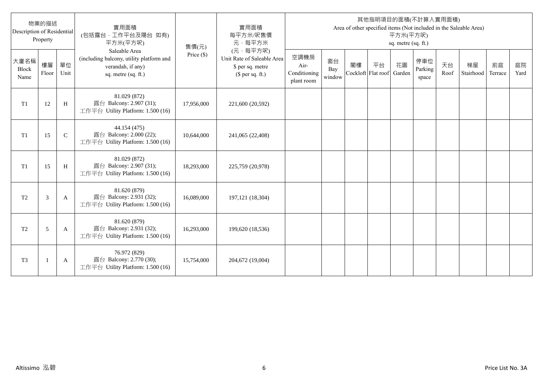| Description of Residential   | 物業的描述<br>Property        |              | 實用面積<br>(包括露台,工作平台及陽台 如有)<br>平方米(平方呎)                                                                 | 售價(元)      | 實用面積<br>每平方米/呎售價<br>元·每平方米                                                     |                                            |                     |    |                                 | 平方米(平方呎)<br>sq. metre (sq. ft.) | 其他指明項目的面積(不計算入實用面積)     |            | Area of other specified items (Not included in the Saleable Area) |               |            |
|------------------------------|--------------------------|--------------|-------------------------------------------------------------------------------------------------------|------------|--------------------------------------------------------------------------------|--------------------------------------------|---------------------|----|---------------------------------|---------------------------------|-------------------------|------------|-------------------------------------------------------------------|---------------|------------|
| 大廈名稱<br><b>Block</b><br>Name | 樓層<br>Floor              | 單位<br>Unit   | Saleable Area<br>(including balcony, utility platform and<br>verandah, if any)<br>sq. metre (sq. ft.) | Price (\$) | (元·每平方呎)<br>Unit Rate of Saleable Area<br>\$ per sq. metre<br>$$$ per sq. ft.) | 空調機房<br>Air-<br>Conditioning<br>plant room | 窗台<br>Bay<br>window | 閣樓 | 平台<br>Cockloft Flat roof Garden | 花園                              | 停車位<br>Parking<br>space | 天台<br>Roof | 梯屋<br>Stairhood                                                   | 前庭<br>Terrace | 庭院<br>Yard |
| T <sub>1</sub>               | 12                       | H            | 81.029 (872)<br>露台 Balcony: 2.907 (31);<br>工作平台 Utility Platform: 1.500 (16)                          | 17,956,000 | 221,600 (20,592)                                                               |                                            |                     |    |                                 |                                 |                         |            |                                                                   |               |            |
| T1                           | 15                       | $\mathsf{C}$ | 44.154 (475)<br>露台 Balcony: 2.000 (22);<br>工作平台 Utility Platform: 1.500 (16)                          | 10,644,000 | 241,065 (22,408)                                                               |                                            |                     |    |                                 |                                 |                         |            |                                                                   |               |            |
| T1                           | 15                       | H            | 81.029 (872)<br>露台 Balcony: 2.907 (31);<br>工作平台 Utility Platform: 1.500 (16)                          | 18,293,000 | 225,759 (20,978)                                                               |                                            |                     |    |                                 |                                 |                         |            |                                                                   |               |            |
| T <sub>2</sub>               | 3                        | A            | 81.620 (879)<br>露台 Balcony: 2.931 (32);<br>工作平台 Utility Platform: 1.500 (16)                          | 16,089,000 | 197,121 (18,304)                                                               |                                            |                     |    |                                 |                                 |                         |            |                                                                   |               |            |
| T <sub>2</sub>               | 5                        | A            | 81.620 (879)<br>露台 Balcony: 2.931 (32);<br>工作平台 Utility Platform: 1.500 (16)                          | 16,293,000 | 199,620 (18,536)                                                               |                                            |                     |    |                                 |                                 |                         |            |                                                                   |               |            |
| T <sub>3</sub>               | $\overline{\phantom{a}}$ | A            | 76.972 (829)<br>露台 Balcony: 2.770 (30);<br>工作平台 Utility Platform: 1.500 (16)                          | 15,754,000 | 204,672 (19,004)                                                               |                                            |                     |    |                                 |                                 |                         |            |                                                                   |               |            |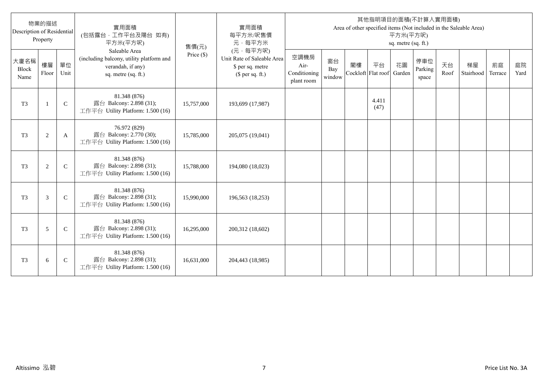| Description of Residential   | 物業的描述<br>Property |               | 實用面積<br>(包括露台,工作平台及陽台 如有)<br>平方米(平方呎)                                                                 | 售價(元)      | 實用面積<br>每平方米/呎售價<br>元·每平方米                                                     |                                            |                     |    |                                 | 平方米(平方呎)<br>sq. metre (sq. ft.) | 其他指明項目的面積(不計算入實用面積)     |            | Area of other specified items (Not included in the Saleable Area) |               |            |
|------------------------------|-------------------|---------------|-------------------------------------------------------------------------------------------------------|------------|--------------------------------------------------------------------------------|--------------------------------------------|---------------------|----|---------------------------------|---------------------------------|-------------------------|------------|-------------------------------------------------------------------|---------------|------------|
| 大廈名稱<br><b>Block</b><br>Name | 樓層<br>Floor       | 單位<br>Unit    | Saleable Area<br>(including balcony, utility platform and<br>verandah, if any)<br>sq. metre (sq. ft.) | Price (\$) | (元·每平方呎)<br>Unit Rate of Saleable Area<br>\$ per sq. metre<br>$$$ per sq. ft.) | 空調機房<br>Air-<br>Conditioning<br>plant room | 窗台<br>Bay<br>window | 閣樓 | 平台<br>Cockloft Flat roof Garden | 花園                              | 停車位<br>Parking<br>space | 天台<br>Roof | 梯屋<br>Stairhood                                                   | 前庭<br>Terrace | 庭院<br>Yard |
| T <sub>3</sub>               | $\overline{1}$    | $\mathbf C$   | 81.348 (876)<br>露台 Balcony: 2.898 (31);<br>工作平台 Utility Platform: 1.500 (16)                          | 15,757,000 | 193,699 (17,987)                                                               |                                            |                     |    | 4.411<br>(47)                   |                                 |                         |            |                                                                   |               |            |
| T <sub>3</sub>               | $\overline{2}$    | A             | 76.972 (829)<br>露台 Balcony: 2.770 (30);<br>工作平台 Utility Platform: 1.500 (16)                          | 15,785,000 | 205,075 (19,041)                                                               |                                            |                     |    |                                 |                                 |                         |            |                                                                   |               |            |
| T <sub>3</sub>               | $\overline{2}$    | $\mathcal{C}$ | 81.348 (876)<br>露台 Balcony: 2.898 (31);<br>工作平台 Utility Platform: 1.500 (16)                          | 15,788,000 | 194,080 (18,023)                                                               |                                            |                     |    |                                 |                                 |                         |            |                                                                   |               |            |
| T <sub>3</sub>               | 3                 | $\mathsf{C}$  | 81.348 (876)<br>露台 Balcony: 2.898 (31);<br>工作平台 Utility Platform: 1.500 (16)                          | 15,990,000 | 196,563 (18,253)                                                               |                                            |                     |    |                                 |                                 |                         |            |                                                                   |               |            |
| T <sub>3</sub>               | 5                 | $\mathcal{C}$ | 81.348 (876)<br>露台 Balcony: 2.898 (31);<br>工作平台 Utility Platform: 1.500 (16)                          | 16,295,000 | 200,312 (18,602)                                                               |                                            |                     |    |                                 |                                 |                         |            |                                                                   |               |            |
| T <sub>3</sub>               | 6                 | $\mathsf{C}$  | 81.348 (876)<br>露台 Balcony: 2.898 (31);<br>工作平台 Utility Platform: 1.500 (16)                          | 16,631,000 | 204,443 (18,985)                                                               |                                            |                     |    |                                 |                                 |                         |            |                                                                   |               |            |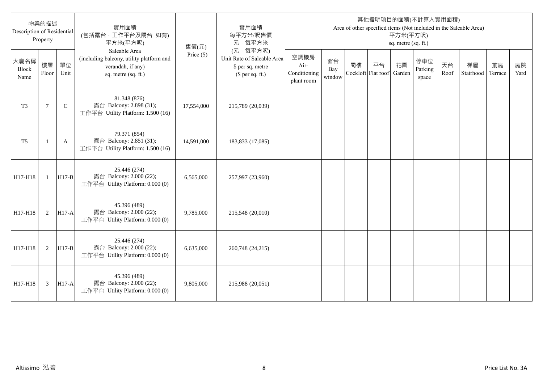| Description of Residential | 物業的描述<br>Property |              | 實用面積<br>(包括露台,工作平台及陽台 如有)<br>平方米(平方呎)                                                                 | 售價(元)        | 實用面積<br>每平方米/呎售價<br>元·每平方米                                                     |                                            |                     |                          |    | 平方米(平方呎)<br>sq. metre (sq. ft.) | 其他指明項目的面積(不計算入實用面積)     |            | Area of other specified items (Not included in the Saleable Area) |               |            |
|----------------------------|-------------------|--------------|-------------------------------------------------------------------------------------------------------|--------------|--------------------------------------------------------------------------------|--------------------------------------------|---------------------|--------------------------|----|---------------------------------|-------------------------|------------|-------------------------------------------------------------------|---------------|------------|
| 大廈名稱<br>Block<br>Name      | 樓層<br>Floor       | 單位<br>Unit   | Saleable Area<br>(including balcony, utility platform and<br>verandah, if any)<br>sq. metre (sq. ft.) | Price $(\$)$ | (元·每平方呎)<br>Unit Rate of Saleable Area<br>\$ per sq. metre<br>$$$ per sq. ft.) | 空調機房<br>Air-<br>Conditioning<br>plant room | 窗台<br>Bay<br>window | 閣樓<br>Cockloft Flat roof | 平台 | 花園<br>Garden                    | 停車位<br>Parking<br>space | 天台<br>Roof | 梯屋<br>Stairhood                                                   | 前庭<br>Terrace | 庭院<br>Yard |
| T <sub>3</sub>             | $7\phantom{.0}$   | $\mathsf{C}$ | 81.348 (876)<br>露台 Balcony: 2.898 (31);<br>工作平台 Utility Platform: 1.500 (16)                          | 17,554,000   | 215,789 (20,039)                                                               |                                            |                     |                          |    |                                 |                         |            |                                                                   |               |            |
| T <sub>5</sub>             | $\mathbf{1}$      | A            | 79.371 (854)<br>露台 Balcony: 2.851 (31);<br>工作平台 Utility Platform: 1.500 (16)                          | 14,591,000   | 183,833 (17,085)                                                               |                                            |                     |                          |    |                                 |                         |            |                                                                   |               |            |
| H17-H18                    | $\mathbf{1}$      | $H17-B$      | 25.446 (274)<br>露台 Balcony: 2.000 (22);<br>工作平台 Utility Platform: 0.000 (0)                           | 6,565,000    | 257,997 (23,960)                                                               |                                            |                     |                          |    |                                 |                         |            |                                                                   |               |            |
| H17-H18                    | 2                 | <b>H17-A</b> | 45.396 (489)<br>露台 Balcony: 2.000 (22);<br>工作平台 Utility Platform: 0.000 (0)                           | 9,785,000    | 215,548 (20,010)                                                               |                                            |                     |                          |    |                                 |                         |            |                                                                   |               |            |
| H17-H18                    | 2                 | $H17-B$      | 25.446 (274)<br>露台 Balcony: 2.000 (22);<br>工作平台 Utility Platform: 0.000 (0)                           | 6,635,000    | 260,748 (24,215)                                                               |                                            |                     |                          |    |                                 |                         |            |                                                                   |               |            |
| H17-H18                    | 3                 | <b>H17-A</b> | 45.396 (489)<br>露台 Balcony: 2.000 (22);<br>工作平台 Utility Platform: 0.000 (0)                           | 9,805,000    | 215,988 (20,051)                                                               |                                            |                     |                          |    |                                 |                         |            |                                                                   |               |            |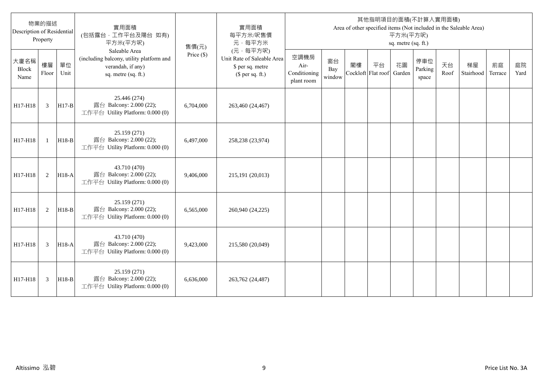| Description of Residential | 物業的描述<br>Property |            | 實用面積<br>(包括露台,工作平台及陽台 如有)<br>平方米(平方呎)                                                                 | 售價(元)        | 實用面積<br>每平方米/呎售價<br>元·每平方米                                                     |                                            |                     |    |                          | 平方米(平方呎)<br>sq. metre (sq. ft.) | 其他指明項目的面積(不計算入實用面積)     |            | Area of other specified items (Not included in the Saleable Area) |               |            |
|----------------------------|-------------------|------------|-------------------------------------------------------------------------------------------------------|--------------|--------------------------------------------------------------------------------|--------------------------------------------|---------------------|----|--------------------------|---------------------------------|-------------------------|------------|-------------------------------------------------------------------|---------------|------------|
| 大廈名稱<br>Block<br>Name      | 樓層<br>Floor       | 單位<br>Unit | Saleable Area<br>(including balcony, utility platform and<br>verandah, if any)<br>sq. metre (sq. ft.) | Price $(\$)$ | (元,每平方呎)<br>Unit Rate of Saleable Area<br>\$ per sq. metre<br>$$$ per sq. ft.) | 空調機房<br>Air-<br>Conditioning<br>plant room | 窗台<br>Bay<br>window | 閣樓 | 平台<br>Cockloft Flat roof | 花園<br>Garden                    | 停車位<br>Parking<br>space | 天台<br>Roof | 梯屋<br>Stairhood                                                   | 前庭<br>Terrace | 庭院<br>Yard |
| H17-H18                    | 3                 | $H17-B$    | 25.446 (274)<br>露台 Balcony: 2.000 (22);<br>工作平台 Utility Platform: 0.000 (0)                           | 6,704,000    | 263,460 (24,467)                                                               |                                            |                     |    |                          |                                 |                         |            |                                                                   |               |            |
| H17-H18                    | $\mathbf{1}$      | $H18-B$    | 25.159 (271)<br>露台 Balcony: 2.000 (22);<br>工作平台 Utility Platform: 0.000 (0)                           | 6,497,000    | 258,238 (23,974)                                                               |                                            |                     |    |                          |                                 |                         |            |                                                                   |               |            |
| H17-H18                    | 2                 | $H18-A$    | 43.710 (470)<br>露台 Balcony: 2.000 (22);<br>工作平台 Utility Platform: 0.000 (0)                           | 9,406,000    | 215,191 (20,013)                                                               |                                            |                     |    |                          |                                 |                         |            |                                                                   |               |            |
| H17-H18                    | 2                 | $H18-B$    | 25.159 (271)<br>露台 Balcony: 2.000 (22);<br>工作平台 Utility Platform: 0.000 (0)                           | 6,565,000    | 260,940 (24,225)                                                               |                                            |                     |    |                          |                                 |                         |            |                                                                   |               |            |
| H17-H18                    | 3                 | H18-A      | 43.710 (470)<br>露台 Balcony: 2.000 (22);<br>工作平台 Utility Platform: 0.000 (0)                           | 9,423,000    | 215,580 (20,049)                                                               |                                            |                     |    |                          |                                 |                         |            |                                                                   |               |            |
| H17-H18                    | 3                 | $H18-B$    | 25.159(271)<br>露台 Balcony: 2.000 (22);<br>工作平台 Utility Platform: 0.000 (0)                            | 6,636,000    | 263,762 (24,487)                                                               |                                            |                     |    |                          |                                 |                         |            |                                                                   |               |            |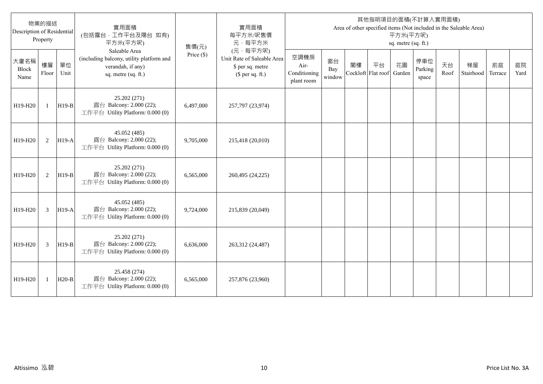| Description of Residential | 物業的描述<br>Property |            | 實用面積<br>(包括露台,工作平台及陽台 如有)<br>平方米(平方呎)                                                                 | 售價(元)        | 實用面積<br>每平方米/呎售價<br>元·每平方米                                                     |                                            |                     |    |                          | 平方米(平方呎)<br>sq. metre (sq. ft.) | 其他指明項目的面積(不計算入實用面積)     |            | Area of other specified items (Not included in the Saleable Area) |               |            |
|----------------------------|-------------------|------------|-------------------------------------------------------------------------------------------------------|--------------|--------------------------------------------------------------------------------|--------------------------------------------|---------------------|----|--------------------------|---------------------------------|-------------------------|------------|-------------------------------------------------------------------|---------------|------------|
| 大廈名稱<br>Block<br>Name      | 樓層<br>Floor       | 單位<br>Unit | Saleable Area<br>(including balcony, utility platform and<br>verandah, if any)<br>sq. metre (sq. ft.) | Price $(\$)$ | (元,每平方呎)<br>Unit Rate of Saleable Area<br>\$ per sq. metre<br>(\$ per sq. ft.) | 空調機房<br>Air-<br>Conditioning<br>plant room | 窗台<br>Bay<br>window | 閣樓 | 平台<br>Cockloft Flat roof | 花園<br>Garden                    | 停車位<br>Parking<br>space | 天台<br>Roof | 梯屋<br>Stairhood                                                   | 前庭<br>Terrace | 庭院<br>Yard |
| H19-H20                    | $\mathbf{1}$      | $H19-B$    | 25.202 (271)<br>露台 Balcony: 2.000 (22);<br>工作平台 Utility Platform: 0.000 (0)                           | 6,497,000    | 257,797 (23,974)                                                               |                                            |                     |    |                          |                                 |                         |            |                                                                   |               |            |
| H19-H20                    | 2                 | $H19-A$    | 45.052 (485)<br>露台 Balcony: 2.000 (22);<br>工作平台 Utility Platform: 0.000 (0)                           | 9,705,000    | 215,418 (20,010)                                                               |                                            |                     |    |                          |                                 |                         |            |                                                                   |               |            |
| H19-H20                    | 2                 | H19-B      | 25.202 (271)<br>露台 Balcony: 2.000 (22);<br>工作平台 Utility Platform: 0.000 (0)                           | 6,565,000    | 260,495 (24,225)                                                               |                                            |                     |    |                          |                                 |                         |            |                                                                   |               |            |
| H19-H20                    | 3                 | $H19-A$    | 45.052 (485)<br>露台 Balcony: 2.000 (22);<br>工作平台 Utility Platform: 0.000 (0)                           | 9,724,000    | 215,839 (20,049)                                                               |                                            |                     |    |                          |                                 |                         |            |                                                                   |               |            |
| H19-H20                    | 3                 | H19-B      | 25.202 (271)<br>露台 Balcony: 2.000 (22);<br>工作平台 Utility Platform: 0.000 (0)                           | 6,636,000    | 263,312 (24,487)                                                               |                                            |                     |    |                          |                                 |                         |            |                                                                   |               |            |
| H19-H20                    | 1                 | $H20-B$    | 25.458 (274)<br>露台 Balcony: 2.000 (22);<br>工作平台 Utility Platform: 0.000 (0)                           | 6,565,000    | 257,876 (23,960)                                                               |                                            |                     |    |                          |                                 |                         |            |                                                                   |               |            |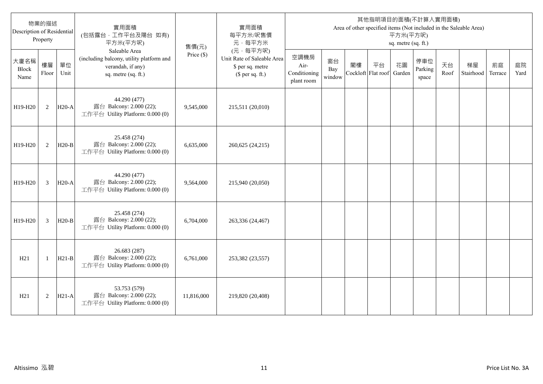| 物業的描述<br>Description of Residential<br>Property |              |            | 實用面積<br>(包括露台,工作平台及陽台 如有)<br>平方米(平方呎)                                                                 | 售價(元)        | 實用面積<br>每平方米/呎售價<br>元·每平方米                                                     | 其他指明項目的面積(不計算入實用面積)<br>Area of other specified items (Not included in the Saleable Area)<br>平方米(平方呎)<br>sq. metre (sq. ft.) |                     |                          |    |              |                         |            |                 |               |            |
|-------------------------------------------------|--------------|------------|-------------------------------------------------------------------------------------------------------|--------------|--------------------------------------------------------------------------------|-----------------------------------------------------------------------------------------------------------------------------|---------------------|--------------------------|----|--------------|-------------------------|------------|-----------------|---------------|------------|
| 大廈名稱<br>Block<br>Name                           | 樓層<br>Floor  | 單位<br>Unit | Saleable Area<br>(including balcony, utility platform and<br>verandah, if any)<br>sq. metre (sq. ft.) | Price $(\$)$ | (元·每平方呎)<br>Unit Rate of Saleable Area<br>\$ per sq. metre<br>$$$ per sq. ft.) | 空調機房<br>Air-<br>Conditioning<br>plant room                                                                                  | 窗台<br>Bay<br>window | 閣樓<br>Cockloft Flat roof | 平台 | 花園<br>Garden | 停車位<br>Parking<br>space | 天台<br>Roof | 梯屋<br>Stairhood | 前庭<br>Terrace | 庭院<br>Yard |
| H19-H20                                         | 2            | $H20-A$    | 44.290 (477)<br>露台 Balcony: 2.000 (22);<br>工作平台 Utility Platform: 0.000 (0)                           | 9,545,000    | 215,511 (20,010)                                                               |                                                                                                                             |                     |                          |    |              |                         |            |                 |               |            |
| H19-H20                                         | 2            | $H20-B$    | 25.458 (274)<br>露台 Balcony: 2.000 (22);<br>工作平台 Utility Platform: 0.000 (0)                           | 6,635,000    | 260,625 (24,215)                                                               |                                                                                                                             |                     |                          |    |              |                         |            |                 |               |            |
| H19-H20                                         | 3            | $H20-A$    | 44.290 (477)<br>露台 Balcony: 2.000 (22);<br>工作平台 Utility Platform: 0.000 (0)                           | 9,564,000    | 215,940 (20,050)                                                               |                                                                                                                             |                     |                          |    |              |                         |            |                 |               |            |
| H19-H20                                         | 3            | $H20-B$    | 25.458 (274)<br>露台 Balcony: 2.000 (22);<br>工作平台 Utility Platform: 0.000 (0)                           | 6,704,000    | 263,336 (24,467)                                                               |                                                                                                                             |                     |                          |    |              |                         |            |                 |               |            |
| H21                                             | $\mathbf{1}$ | $H21-B$    | 26.683 (287)<br>露台 Balcony: 2.000 (22);<br>工作平台 Utility Platform: 0.000 (0)                           | 6,761,000    | 253,382 (23,557)                                                               |                                                                                                                             |                     |                          |    |              |                         |            |                 |               |            |
| H21                                             | $\sqrt{2}$   | $H21-A$    | 53.753 (579)<br>露台 Balcony: 2.000 (22);<br>工作平台 Utility Platform: 0.000 (0)                           | 11,816,000   | 219,820 (20,408)                                                               |                                                                                                                             |                     |                          |    |              |                         |            |                 |               |            |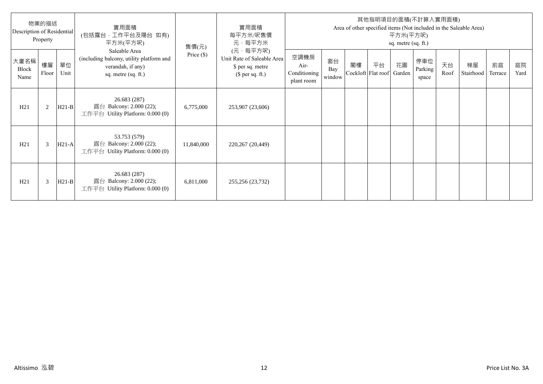| 物業的描述<br>Description of Residential<br>Property |                |            | 實用面積<br>(包括露台,工作平台及陽台 如有)<br>平方米(平方呎)                                                                 | 售價(元)        | 實用面積<br>每平方米/呎售價<br>元·每平方米                                                     | 其他指明項目的面積(不計算入實用面積)<br>Area of other specified items (Not included in the Saleable Area)<br>平方米(平方呎)<br>sq. metre (sq. ft.) |                     |    |                          |              |                         |            |                 |               |            |
|-------------------------------------------------|----------------|------------|-------------------------------------------------------------------------------------------------------|--------------|--------------------------------------------------------------------------------|-----------------------------------------------------------------------------------------------------------------------------|---------------------|----|--------------------------|--------------|-------------------------|------------|-----------------|---------------|------------|
| 大廈名稱<br>Block<br>Name                           | 樓層<br>Floor    | 單位<br>Unit | Saleable Area<br>(including balcony, utility platform and<br>verandah, if any)<br>sq. metre (sq. ft.) | Price $(\$)$ | (元·每平方呎)<br>Unit Rate of Saleable Area<br>\$ per sq. metre<br>$$$ per sq. ft.) | 空調機房<br>Air-<br>Conditioning<br>plant room                                                                                  | 窗台<br>Bay<br>window | 閣樓 | 平台<br>Cockloft Flat roof | 花園<br>Garden | 停車位<br>Parking<br>space | 天台<br>Roof | 梯屋<br>Stairhood | 前庭<br>Terrace | 庭院<br>Yard |
| H21                                             | $\overline{2}$ | $H21-B$    | 26.683 (287)<br>露台 Balcony: 2.000 (22);<br>工作平台 Utility Platform: $0.000(0)$                          | 6,775,000    | 253,907 (23,606)                                                               |                                                                                                                             |                     |    |                          |              |                         |            |                 |               |            |
| H21                                             | 3              | $H21-A$    | 53.753 (579)<br>露台 Balcony: 2.000 (22);<br>工作平台 Utility Platform: 0.000 (0)                           | 11,840,000   | 220,267 (20,449)                                                               |                                                                                                                             |                     |    |                          |              |                         |            |                 |               |            |
| H21                                             | 3              | $H21-B$    | 26.683 (287)<br>露台 Balcony: 2.000 (22);<br>工作平台 Utility Platform: 0.000 (0)                           | 6,811,000    | 255,256 (23,732)                                                               |                                                                                                                             |                     |    |                          |              |                         |            |                 |               |            |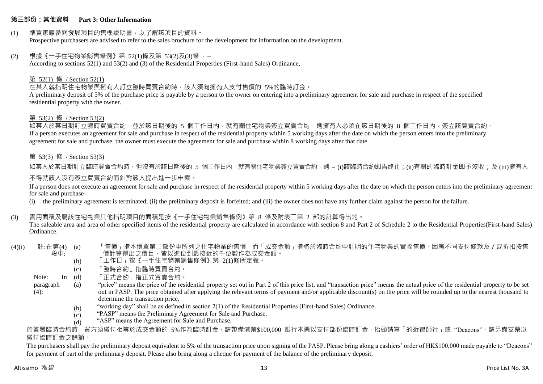#### **第三部份:其他資料 Part 3: Other Information**

#### (1) 準買家應參閱發展項目的售樓說明書,以了解該項目的資料。 Prospective purchasers are advised to refer to the sales brochure for the development for information on the development.

#### (2) 根據《一手住宅物業銷售條例》第 52(1)條及第 53(2)及(3)條 ,– According to sections 52(1) and 53(2) and (3) of the Residential Properties (First-hand Sales) Ordinance, –

#### 第 52(1) 條 / Section 52(1)

## 在某人就指明住宅物業與擁有人訂立臨時買賣合約時,該人須向擁有人支付售價的 5%的臨時訂金。

A preliminary deposit of 5% of the purchase price is payable by a person to the owner on entering into a preliminary agreement for sale and purchase in respect of the specified residential property with the owner.

#### 第 53(2) 條 / Section 53(2)

如某人於某日期訂立臨時買賣合約,並於該日期後的 5 個工作日內,就有關住宅物業簽立買賣合約,則擁有人必須在該日期後的 8 個工作日內,簽立該買賣合約。 If a person executes an agreement for sale and purchase in respect of the residential property within 5 working days after the date on which the person enters into the preliminary agreement for sale and purchase, the owner must execute the agreement for sale and purchase within 8 working days after that date.

#### 第 53(3) 條 / Section 53(3)

如某人於某日期訂立臨時買賣合約時,但沒有於該日期後的 5 個工作日內,就有關住宅物業簽立買賣合約,則 – (i)該臨時合約即告終止;(ii)有關的臨時訂金即予沒收;及 (iii)擁有人

#### 不得就該人沒有簽立買賣合約而針對該人提出進一步申索。

If a person does not execute an agreement for sale and purchase in respect of the residential property within 5 working days after the date on which the person enters into the preliminary agreement for sale and purchase-

(i) the preliminary agreement is terminated; (ii) the preliminary deposit is forfeited; and (iii) the owner does not have any further claim against the person for the failure.

#### (3) 實用面積及屬該住宅物業其他指明項目的面積是按《一手住宅物業銷售條例》第 8 條及附表二第 2 部的計算得出的。

The saleable area and area of other specified items of the residential property are calculated in accordance with section 8 and Part 2 of Schedule 2 to the Residential Properties(First-hand Sales) Ordinance.

 $(4)(i)$  註:在第 $(4)$   $(a)$ 段中: 「售價」指本價單第二部份中所列之住宅物業的售價,而「成交金額」指將於臨時合約中訂明的住宅物業的實際售價。因應不同支付條款及/或折扣按售 價計算得出之價目,皆以進位到最接近的千位數作為成交金額。

- (b) 「工作日」按《一手住宅物業銷售條例》第 2(1)條所定義。
- (c) 「臨時合約」指臨時買賣合約。
- $\ln$  (d) 「正式合約」指正式買賣合約。
- paragraph  $(4)$ : (a) "price" means the price of the residential property set out in Part 2 of this price list, and "transaction price" means the actual price of the residential property to be set out in PASP. The price obtained after applying the relevant terms of payment and/or applicable discount(s) on the price will be rounded up to the nearest thousand to determine the transaction price.
	- (b) "working day" shall be as defined in section 2(1) of the Residential Properties (First-hand Sales) Ordinance.
	- $(c)$ "PASP" means the Preliminary Agreement for Sale and Purchase.
	- (d) "ASP" means the Agreement for Sale and Purchase.

於簽署臨時合約時,買方須繳付相等於成交金額的 5%作為臨時訂金,請帶備港幣\$100,000 銀行本票以支付部份臨時訂金,抬頭請寫「的近律師行」或"Deacons"。請另備支票以 繳付臨時訂金之餘額。

The purchasers shall pay the preliminary deposit equivalent to 5% of the transaction price upon signing of the PASP. Please bring along a cashiers' order of HK\$100,000 made payable to "Deacons" for payment of part of the preliminary deposit. Please also bring along a cheque for payment of the balance of the preliminary deposit.

Note: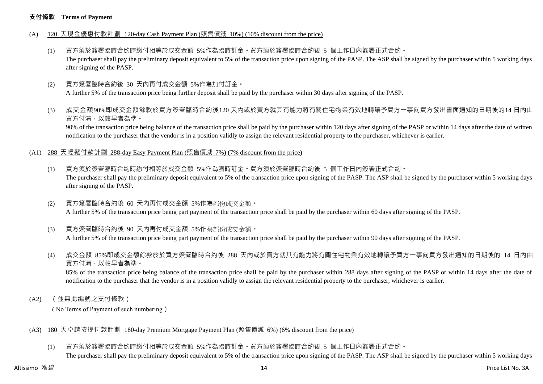#### **支付條款 Terms of Payment**

- (A) 120 天現金優惠付款計劃 120-day Cash Payment Plan (照售價減 10%) (10% discount from the price)
	- (1) 買方須於簽署臨時合約時繳付相等於成交金額 5%作為臨時訂金。買方須於簽署臨時合約後 5 個工作日內簽署正式合約。 The purchaser shall pay the preliminary deposit equivalent to 5% of the transaction price upon signing of the PASP. The ASP shall be signed by the purchaser within 5 working days after signing of the PASP.
	- (2) 買方簽署臨時合約後 30 天內再付成交金額 5%作為加付訂金。 A further 5% of the transaction price being further deposit shall be paid by the purchaser within 30 days after signing of the PASP.
	- (3) 成交金額90%即成交金額餘款於買方簽署臨時合約後120 天內或於賣方就其有能力將有關住宅物業有效地轉讓予買方一事向買方發出書面通知的日期後的14 日內由 買方付清,以較早者為準。

90% of the transaction price being balance of the transaction price shall be paid by the purchaser within 120 days after signing of the PASP or within 14 days after the date of written notification to the purchaser that the vendor is in a position validly to assign the relevant residential property to the purchaser, whichever is earlier.

- (A1) 288 天輕鬆付款計劃 288-day Easy Payment Plan (照售價減 7%) (7% discount from the price)
	- (1) 買方須於簽署臨時合約時繳付相等於成交金額 5%作為臨時訂金。買方須於簽署臨時合約後 5 個工作日內簽署正式合約。 The purchaser shall pay the preliminary deposit equivalent to 5% of the transaction price upon signing of the PASP. The ASP shall be signed by the purchaser within 5 working days after signing of the PASP.
	- (2) 買方簽署臨時合約後 60 天內再付成交金額 5%作為部份成交金額。 A further 5% of the transaction price being part payment of the transaction price shall be paid by the purchaser within 60 days after signing of the PASP.
	- (3) 買方簽署臨時合約後 90 天內再付成交金額 5%作為部份成交金額。

A further 5% of the transaction price being part payment of the transaction price shall be paid by the purchaser within 90 days after signing of the PASP.

(4) 成交金額 85%即成交金額餘款於於買方簽署臨時合約後 288 天內或於賣方就其有能力將有關住宅物業有效地轉讓予買方一事向買方發出通知的日期後的 14 日內由 買方付清,以較早者為準。

85% of the transaction price being balance of the transaction price shall be paid by the purchaser within 288 days after signing of the PASP or within 14 days after the date of notification to the purchaser that the vendor is in a position validly to assign the relevant residential property to the purchaser, whichever is earlier.

(A2) (並無此編號之支付條款)

( No Terms of Payment of such numbering)

#### (A3) 180 天卓越按揭付款計劃 180-day Premium Mortgage Payment Plan (照售價減 6%) (6% discount from the price)

(1) 買方須於簽署臨時合約時繳付相等於成交金額 5%作為臨時訂金。買方須於簽署臨時合約後 5 個工作日內簽署正式合約。 The purchaser shall pay the preliminary deposit equivalent to 5% of the transaction price upon signing of the PASP. The ASP shall be signed by the purchaser within 5 working days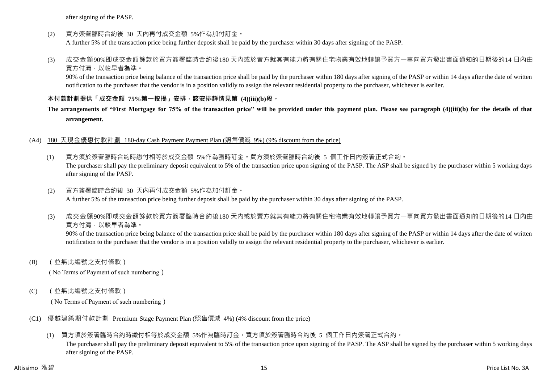after signing of the PASP.

(2) 買方簽署臨時合約後 30 天內再付成交金額 5%作為加付訂金。

A further 5% of the transaction price being further deposit shall be paid by the purchaser within 30 days after signing of the PASP.

(3) 成交金額90%即成交金額餘款於買方簽署臨時合約後180 天內或於賣方就其有能力將有關住宅物業有效地轉讓予買方一事向買方發出書面通知的日期後的14 日內由 買方付清,以較早者為準。

90% of the transaction price being balance of the transaction price shall be paid by the purchaser within 180 days after signing of the PASP or within 14 days after the date of written notification to the purchaser that the vendor is in a position validly to assign the relevant residential property to the purchaser, whichever is earlier.

#### **本付款計劃提供「成交金額 75%第一按揭」安排,該安排詳情見第 (4)(iii)(b)段。**

## **The arrangements of "First Mortgage for 75% of the transaction price" will be provided under this payment plan. Please see paragraph (4)(iii)(b) for the details of that arrangement.**

#### (A4) 180 天現金優惠付款計劃 180-day Cash Payment Payment Plan (照售價減 9%) (9% discount from the price)

(1) 買方須於簽署臨時合約時繳付相等於成交金額 5%作為臨時訂金。買方須於簽署臨時合約後 5 個工作日內簽署正式合約。 The purchaser shall pay the preliminary deposit equivalent to 5% of the transaction price upon signing of the PASP. The ASP shall be signed by the purchaser within 5 working days after signing of the PASP.

#### (2) 買方簽署臨時合約後 30 天內再付成交金額 5%作為加付訂金。 A further 5% of the transaction price being further deposit shall be paid by the purchaser within 30 days after signing of the PASP.

(3) 成交金額90%即成交金額餘款於買方簽署臨時合約後180 天內或於賣方就其有能力將有關住宅物業有效地轉讓予買方一事向買方發出書面通知的日期後的14 日內由 買方付清,以較早者為準。

90% of the transaction price being balance of the transaction price shall be paid by the purchaser within 180 days after signing of the PASP or within 14 days after the date of written notification to the purchaser that the vendor is in a position validly to assign the relevant residential property to the purchaser, whichever is earlier.

(B) (並無此編號之支付條款)

( No Terms of Payment of such numbering)

(C) (並無此編號之支付條款)

( No Terms of Payment of such numbering)

- (C1) 優越建築期付款計劃 Premium Stage Payment Plan (照售價減 4%) (4% discount from the price)
	- (1) 買方須於簽署臨時合約時繳付相等於成交金額 5%作為臨時訂金。買方須於簽署臨時合約後 5 個工作日內簽署正式合約。

The purchaser shall pay the preliminary deposit equivalent to 5% of the transaction price upon signing of the PASP. The ASP shall be signed by the purchaser within 5 working days after signing of the PASP.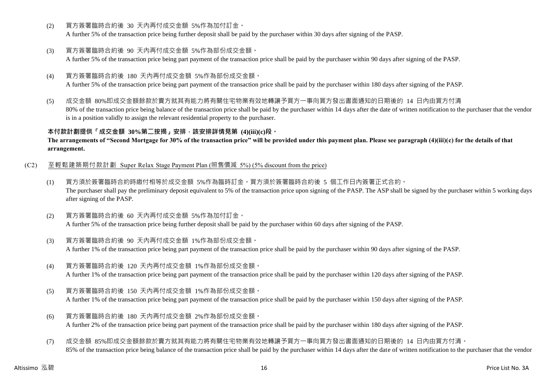- (2) 買方簽署臨時合約後 30 天內再付成交金額 5%作為加付訂金。
	- A further 5% of the transaction price being further deposit shall be paid by the purchaser within 30 days after signing of the PASP.
- (3) 買方簽署臨時合約後 90 天內再付成交金額 5%作為部份成交金額。

A further 5% of the transaction price being part payment of the transaction price shall be paid by the purchaser within 90 days after signing of the PASP.

(4) 買方簽署臨時合約後 180 天內再付成交金額 5%作為部份成交金額。

A further 5% of the transaction price being part payment of the transaction price shall be paid by the purchaser within 180 days after signing of the PASP.

(5) 成交金額 80%即成交金額餘款於賣方就其有能力將有關住宅物業有效地轉讓予買方一事向買方發出書面通知的日期後的 14 日內由買方付清 80% of the transaction price being balance of the transaction price shall be paid by the purchaser within 14 days after the date of written notification to the purchaser that the vendor is in a position validly to assign the relevant residential property to the purchaser.

**本付款計劃提供「成交金額 30%第二按揭」安排,該安排詳情見第 (4)(iii)(c)段。**

**The arrangements of "Second Mortgage for 30% of the transaction price" will be provided under this payment plan. Please see paragraph (4)(iii)(c) for the details of that arrangement.**

- (C2) 至輕鬆建築期付款計劃 Super Relax Stage Payment Plan (照售價減 5%) (5% discount from the price)
	- (1) 買方須於簽署臨時合約時繳付相等於成交金額 5%作為臨時訂金。買方須於簽署臨時合約後 5 個工作日內簽署正式合約。 The purchaser shall pay the preliminary deposit equivalent to 5% of the transaction price upon signing of the PASP. The ASP shall be signed by the purchaser within 5 working days after signing of the PASP.
	- (2) 買方簽署臨時合約後 60 天內再付成交金額 5%作為加付訂金。 A further 5% of the transaction price being further deposit shall be paid by the purchaser within 60 days after signing of the PASP.
	- (3) 買方簽署臨時合約後 90 天內再付成交金額 1%作為部份成交金額。 A further 1% of the transaction price being part payment of the transaction price shall be paid by the purchaser within 90 days after signing of the PASP.
	- (4) 買方簽署臨時合約後 120 天內再付成交金額 1%作為部份成交金額。 A further 1% of the transaction price being part payment of the transaction price shall be paid by the purchaser within 120 days after signing of the PASP.
	- (5) 買方簽署臨時合約後 150 天內再付成交金額 1%作為部份成交金額。 A further 1% of the transaction price being part payment of the transaction price shall be paid by the purchaser within 150 days after signing of the PASP.
	- (6) 買方簽署臨時合約後 180 天內再付成交金額 2%作為部份成交金額。 A further 2% of the transaction price being part payment of the transaction price shall be paid by the purchaser within 180 days after signing of the PASP.
	- (7) 成交金額 85%即成交金額餘款於賣方就其有能力將有關住宅物業有效地轉讓予買方一事向買方發出書面通知的日期後的 14 日內由買方付清。 85% of the transaction price being balance of the transaction price shall be paid by the purchaser within 14 days after the date of written notification to the purchaser that the vendor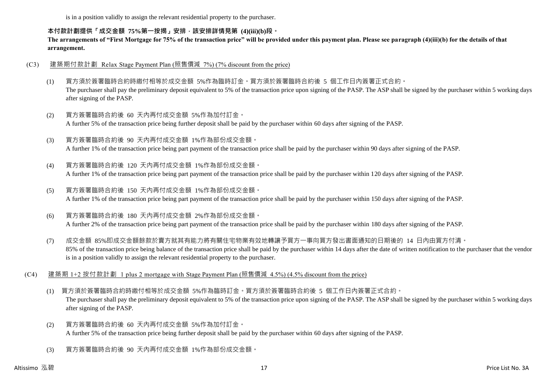is in a position validly to assign the relevant residential property to the purchaser.

#### **本付款計劃提供「成交金額 75%第一按揭」安排,該安排詳情見第 (4)(iii)(b)段。**

**The arrangements of "First Mortgage for 75% of the transaction price" will be provided under this payment plan. Please see paragraph (4)(iii)(b) for the details of that arrangement.**

#### (C3) 建築期付款計劃 Relax Stage Payment Plan (照售價減 7%) (7% discount from the price)

- (1) 買方須於簽署臨時合約時繳付相等於成交金額 5%作為臨時訂金。買方須於簽署臨時合約後 5 個工作日內簽署正式合約。 The purchaser shall pay the preliminary deposit equivalent to 5% of the transaction price upon signing of the PASP. The ASP shall be signed by the purchaser within 5 working days after signing of the PASP.
- (2) 買方簽署臨時合約後 60 天內再付成交金額 5%作為加付訂金。 A further 5% of the transaction price being further deposit shall be paid by the purchaser within 60 days after signing of the PASP.
- (3) 買方簽署臨時合約後 90 天內再付成交金額 1%作為部份成交金額。 A further 1% of the transaction price being part payment of the transaction price shall be paid by the purchaser within 90 days after signing of the PASP.
- (4) 買方簽署臨時合約後 120 天內再付成交金額 1%作為部份成交金額。 A further 1% of the transaction price being part payment of the transaction price shall be paid by the purchaser within 120 days after signing of the PASP.
- (5) 買方簽署臨時合約後 150 天內再付成交金額 1%作為部份成交金額。 A further 1% of the transaction price being part payment of the transaction price shall be paid by the purchaser within 150 days after signing of the PASP.
- (6) 買方簽署臨時合約後 180 天內再付成交金額 2%作為部份成交金額。 A further 2% of the transaction price being part payment of the transaction price shall be paid by the purchaser within 180 days after signing of the PASP.
- (7) 成交金額 85%即成交金額餘款於賣方就其有能力將有關住宅物業有效地轉讓予買方一事向買方發出書面通知的日期後的 14 日內由買方付清。 85% of the transaction price being balance of the transaction price shall be paid by the purchaser within 14 days after the date of written notification to the purchaser that the vendor is in a position validly to assign the relevant residential property to the purchaser.
- (C4) 建築期 1+2 按付款計劃 1 plus 2 mortgage with Stage Payment Plan (照售價減 4.5%) (4.5% discount from the price)
	- (1) 買方須於簽署臨時合約時繳付相等於成交金額 5%作為臨時訂金。買方須於簽署臨時合約後 5 個工作日內簽署正式合約。 The purchaser shall pay the preliminary deposit equivalent to 5% of the transaction price upon signing of the PASP. The ASP shall be signed by the purchaser within 5 working days after signing of the PASP.
	- (2) 買方簽署臨時合約後 60 天內再付成交金額 5%作為加付訂金。 A further 5% of the transaction price being further deposit shall be paid by the purchaser within 60 days after signing of the PASP.
	- (3) 買方簽署臨時合約後 90 天內再付成交金額 1%作為部份成交金額。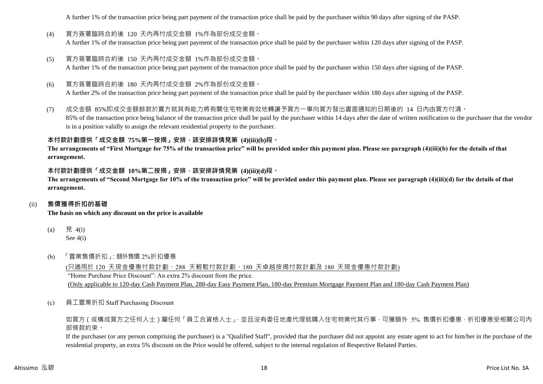A further 1% of the transaction price being part payment of the transaction price shall be paid by the purchaser within 90 days after signing of the PASP.

- (4) 買方簽署臨時合約後 120 天內再付成交金額 1%作為部份成交金額。 A further 1% of the transaction price being part payment of the transaction price shall be paid by the purchaser within 120 days after signing of the PASP.
- (5) 買方簽署臨時合約後 150 天內再付成交金額 1%作為部份成交金額。 A further 1% of the transaction price being part payment of the transaction price shall be paid by the purchaser within 150 days after signing of the PASP.
- (6) 買方簽署臨時合約後 180 天內再付成交金額 2%作為部份成交金額。

A further 2% of the transaction price being part payment of the transaction price shall be paid by the purchaser within 180 days after signing of the PASP.

(7) 成交金額 85%即成交金額餘款於賣方就其有能力將有關住宅物業有效地轉讓予買方一事向買方發出書面通知的日期後的 14 日內由買方付清。 85% of the transaction price being balance of the transaction price shall be paid by the purchaser within 14 days after the date of written notification to the purchaser that the vendor is in a position validly to assign the relevant residential property to the purchaser.

## **本付款計劃提供「成交金額 75%第一按揭」安排,該安排詳情見第 (4)(iii)(b)段。**

**The arrangements of "First Mortgage for 75% of the transaction price" will be provided under this payment plan. Please see paragraph (4)(iii)(b) for the details of that arrangement.**

#### **本付款計劃提供「成交金額 10%第二按揭」安排,該安排詳情見第 (4)(iii)(d)段。**

**The arrangements of "Second Mortgage for 10% of the transaction price" will be provided under this payment plan. Please see paragraph (4)(iii)(d) for the details of that arrangement.**

#### (ii) **售價獲得折扣的基礎**

**The basis on which any discount on the price is available**

- (a) 見 4(i) See 4(i)
- (b) 「置業售價折扣」:額外售價 2%折扣優惠

(只適用於 120 天現金優惠付款計劃、288 天輕鬆付款計劃、180 天卓越按揭付款計劃及 180 天現金優惠付款計劃) "Home Purchase Price Discount": An extra 2% discount from the price. (Only applicable to 120-day Cash Payment Plan, 288-day Easy Payment Plan, 180-day Premium Mortgage Payment Plan and 180-day Cash Payment Plan)

(c) 員工置業折扣 Staff Purchasing Discount

如買方(或構成買方之任何人士)屬任何「員工合資格人士」,並且沒有委任地產代理就購入住宅物業代其行事,可獲額外 5% 售價折扣優惠,折扣優惠受相關公司內 部條款約束。

If the purchaser (or any person comprising the purchaser) is a "Qualified Staff", provided that the purchaser did not appoint any estate agent to act for him/her in the purchase of the residential property, an extra 5% discount on the Price would be offered, subject to the internal regulation of Respective Related Parties.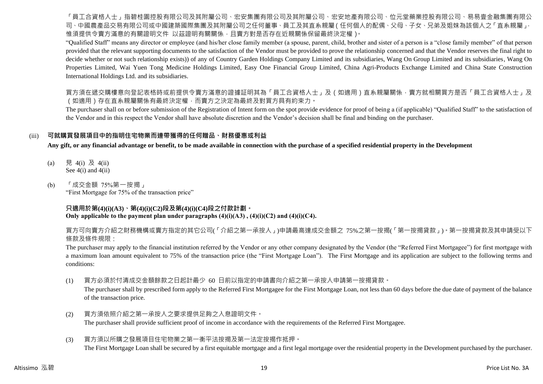「員工合資格人士」再提起的要求是與本明的工程,在中国有限公司及其附屬公司、宏安地產有限公司、位元堂藥業控股有限公司、易易壹金融集團有限公 司、中國農產品交易有限公司或中國建築國際集團及其附屬公司之任何董事、員工及其直系親屬(任何個人的配偶、父母、子女、兄弟及姐妹為該個人之「直系親屬」, 惟須提供令賣方滿意的有關證明文件 以茲證明有關關係,且賣方對是否存在近親關係保留最終決定權)。

"Qualified Staff" means any director or employee (and his/her close family member (a spouse, parent, child, brother and sister of a person is a "close family member" of that person provided that the relevant supporting documents to the satisfaction of the Vendor must be provided to prove the relationship concerned and that the Vendor reserves the final right to decide whether or not such relationship exists)) of any of Country Garden Holdings Company Limited and its subsidiaries, Wang On Group Limited and its subsidiaries, Wang On Properties Limited, Wai Yuen Tong Medicine Holdings Limited, Easy One Financial Group Limited, China Agri-Products Exchange Limited and China State Construction International Holdings Ltd. and its subsidiaries.

買方須在遞交購樓意向登記表格時或前提供令賣方滿意的證據証明其為「員工合資格人士」及(如適用)直系親屬關係,賣方就相關買方是否「員工合資格人士」及 (如適用)存在直系親屬關係有最終決定權,而賣方之決定為最終及對買方具有約束力。

The purchaser shall on or before submission of the Registration of Intent form on the spot provide evidence for proof of being a (if applicable) "Qualified Staff" to the satisfaction of the Vendor and in this respect the Vendor shall have absolute discretion and the Vendor's decision shall be final and binding on the purchaser.

#### (iii) **可就購買發展項目中的指明住宅物業而連帶獲得的任何贈品、財務優惠或利益**

**Any gift, or any financial advantage or benefit, to be made available in connection with the purchase of a specified residential property in the Development**

- (a) 見 4(i) 及 4(ii) See  $4(i)$  and  $4(ii)$
- (b) 「成交金額 75%第一按揭」 "First Mortgage for 75% of the transaction price"

#### **只適用於第(4)(i)(A3)、第(4)(i)(C2)段及第(4)(i)(C4)段之付款計劃。 Only applicable to the payment plan under paragraphs**  $(4)(i)(A3)$ **,**  $(4)(i)(C2)$  **and**  $(4)(i)(C4)$ **.**

買方可向賣方介紹之財務機構或賣方指定的其它公司(「介紹之第一承按人」)申請最高達成交金額之 75%之第一按揭(「第一按揭貸款」)。第一按揭貸款及其申請受以下 條款及條件規限:

The purchaser may apply to the financial institution referred by the Vendor or any other company designated by the Vendor (the "Referred First Mortgagee") for first mortgage with a maximum loan amount equivalent to 75% of the transaction price (the "First Mortgage Loan"). The First Mortgage and its application are subject to the following terms and conditions:

(1) 買方必須於付清成交金額餘款之日起計最少 60 日前以指定的申請書向介紹之第一承按人申請第一按揭貸款。

The purchaser shall by prescribed form apply to the Referred First Mortgagee for the First Mortgage Loan, not less than 60 days before the due date of payment of the balance of the transaction price.

- (2) 買方須依照介紹之第一承按人之要求提供足夠之入息證明文件。 The purchaser shall provide sufficient proof of income in accordance with the requirements of the Referred First Mortgagee.
- (3) 買方須以所購之發展項目住宅物業之第一衡平法按揭及第一法定按揭作抵押。 The First Mortgage Loan shall be secured by a first equitable mortgage and a first legal mortgage over the residential property in the Development purchased by the purchaser.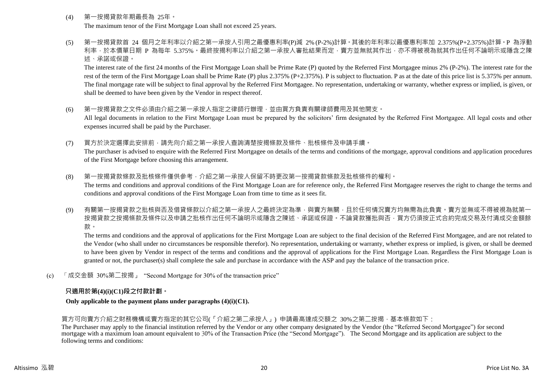(4) 第一按揭貸款年期最長為 25年。

The maximum tenor of the First Mortgage Loan shall not exceed 25 years.

(5) 第一按揭貸款首 24 個月之年利率以介紹之第一承按人引用之最優惠利率(P)減 2% (P-2%)計算。其後的年利率以最優惠利率加 2.375%(P+2.375%)計算。P 為浮動 利率,於本價單日期 P 為每年 5.375%。最終按揭利率以介紹之第一承按人審批結果而定,賣方並無就其作出,亦不得被視為就其作出任何不論明示或隱含之陳 述、承諾或保證。

The interest rate of the first 24 months of the First Mortgage Loan shall be Prime Rate (P) quoted by the Referred First Mortgagee minus 2% (P-2%). The interest rate for the rest of the term of the First Mortgage Loan shall be Prime Rate (P) plus 2.375% (P+2.375%). P is subject to fluctuation. P as at the date of this price list is 5.375% per annum. The final mortgage rate will be subject to final approval by the Referred First Mortgagee. No representation, undertaking or warranty, whether express or implied, is given, or shall be deemed to have been given by the Vendor in respect thereof.

- (6) 第一按揭貸款之文件必須由介紹之第一承按人指定之律師行辦理,並由買方負責有關律師費用及其他開支。 All legal documents in relation to the First Mortgage Loan must be prepared by the solicitors' firm designated by the Referred First Mortgagee. All legal costs and other expenses incurred shall be paid by the Purchaser.
- (7) 買方於決定選擇此安排前,請先向介紹之第一承按人查詢清楚按揭條款及條件、批核條件及申請手續。 The purchaser is advised to enquire with the Referred First Mortgagee on details of the terms and conditions of the mortgage, approval conditions and application procedures of the First Mortgage before choosing this arrangement.
- (8) 第一按揭貸款條款及批核條件僅供參考,介紹之第一承按人保留不時更改第一按揭貸款條款及批核條件的權利。 The terms and conditions and approval conditions of the First Mortgage Loan are for reference only, the Referred First Mortgagee reserves the right to change the terms and conditions and approval conditions of the First Mortgage Loan from time to time as it sees fit.
- (9) 有關第一按揭貸款之批核與否及借貸條款以介紹之第一承按人之最終決定為準,與賣方無關,且於任何情況賣方均無需為此負責。賣方並無或不得被視為就第 按揭貸款之按揭條款及條件以及申請之批核作出任何不論明示或隱含之陳述、承諾或保證。不論貸款獲批與否,買方仍須按正式合約完成交易及付清成交金額餘 款。

The terms and conditions and the approval of applications for the First Mortgage Loan are subject to the final decision of the Referred First Mortgagee, and are not related to the Vendor (who shall under no circumstances be responsible therefor). No representation, undertaking or warranty, whether express or implied, is given, or shall be deemed to have been given by Vendor in respect of the terms and conditions and the approval of applications for the First Mortgage Loan. Regardless the First Mortgage Loan is granted or not, the purchaser(s) shall complete the sale and purchase in accordance with the ASP and pay the balance of the transaction price.

(c) 「成交金額 30%第二按揭」 "Second Mortgage for 30% of the transaction price"

## **只適用於第(4)(i)(C1)段之付款計劃。**

**Only applicable to the payment plans under paragraphs (4)(i)(C1).**

#### 買方可向賣方介紹之財務機構或賣方指定的其它公司(「介紹之第二承按人」) 申請最高達成交額之 30%之第二按揭,基本條款如下:

The Purchaser may apply to the financial institution referred by the Vendor or any other company designated by the Vendor (the "Referred Second Mortgagee") for second mortgage with a maximum loan amount equivalent to 30% of the Transaction Price (the "Second Mortgage"). The Second Mortgage and its application are subject to the following terms and conditions: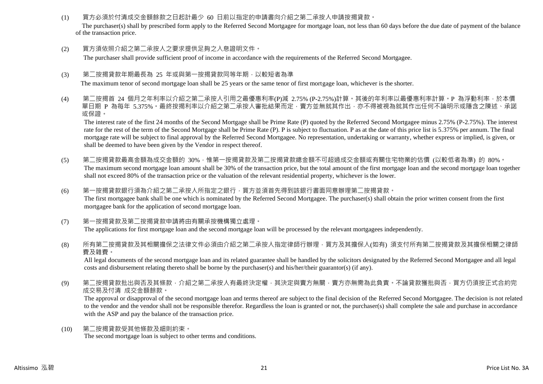(1) 買方必須於付清成交金額餘款之日起計最少 60 日前以指定的申請書向介紹之第二承按人申請按揭貸款。

The purchaser(s) shall by prescribed form apply to the Referred Second Mortgagee for mortgage loan, not less than 60 days before the due date of payment of the balance of the transaction price.

(2) 買方須依照介紹之第二承按人之要求提供足夠之入息證明文件。

The purchaser shall provide sufficient proof of income in accordance with the requirements of the Referred Second Mortgagee.

(3) 第二按揭貸款年期最長為 25 年或與第一按揭貸款同等年期,以較短者為準

The maximum tenor of second mortgage loan shall be 25 years or the same tenor of first mortgage loan, whichever is the shorter.

(4) 第二按揭首 24 個月之年利率以介紹之第二承按人引用之最優惠利率(P)減 2.75% (P-2.75%)計算。其後的年利率以最優惠利率計算。P 為浮動利率,於本價 單日期 P 為每年 5.375%。最終按揭利率以介紹之第二承按人審批結果而定,賣方並無就其作出,亦不得被視為就其作出任何不論明示或隱含之陳述、承諾 或保證。

The interest rate of the first 24 months of the Second Mortgage shall be Prime Rate (P) quoted by the Referred Second Mortgagee minus 2.75% (P-2.75%). The interest rate for the rest of the term of the Second Mortgage shall be Prime Rate (P). P is subject to fluctuation. P as at the date of this price list is 5.375% per annum. The final mortgage rate will be subject to final approval by the Referred Second Mortgagee. No representation, undertaking or warranty, whether express or implied, is given, or shall be deemed to have been given by the Vendor in respect thereof.

- (5) 第二按揭貸款最高金額為成交金額的 30%,惟第一按揭貸款及第二按揭貸款總金額不可超過成交金額或有關住宅物業的估價 (以較低者為準) 的 80%。 The maximum second mortgage loan amount shall be 30% of the transaction price, but the total amount of the first mortgage loan and the second mortgage loan together shall not exceed 80% of the transaction price or the valuation of the relevant residential property, whichever is the lower.
- (6) 第一按揭貸款銀行須為介紹之第二承按人所指定之銀行,買方並須首先得到該銀行書面同意辦理第二按揭貸款。 The first mortgagee bank shall be one which is nominated by the Referred Second Mortgagee. The purchaser(s) shall obtain the prior written consent from the first mortgagee bank for the application of second mortgage loan.
- (7) 第一按揭貸款及第二按揭貸款申請將由有關承按機構獨立處理。 The applications for first mortgage loan and the second mortgage loan will be processed by the relevant mortgagees independently.
- (8) 所有第二按揭貸款及其相關擔保之法律文件必須由介紹之第二承按人指定律師行辦理,買方及其擔保人(如有) 須支付所有第二按揭貸款及其擔保相關之律師 費及雜費。

All legal documents of the second mortgage loan and its related guarantee shall be handled by the solicitors designated by the Referred Second Mortgagee and all legal costs and disbursement relating thereto shall be borne by the purchaser(s) and his/her/their guarantor(s) (if any).

(9) 第二按揭貸款批出與否及其條款,介紹之第二承按人有最終決定權,其決定與賣方無關,賣方亦無需為此負責。不論貸款獲批與否,買方仍須按正式合約完 成交易及付清 成交金額餘款。

The approval or disapproval of the second mortgage loan and terms thereof are subject to the final decision of the Referred Second Mortgagee. The decision is not related to the vendor and the vendor shall not be responsible therefor. Regardless the loan is granted or not, the purchaser(s) shall complete the sale and purchase in accordance with the ASP and pay the balance of the transaction price.

(10) 第二按揭貸款受其他條款及細則約束。 The second mortgage loan is subject to other terms and conditions.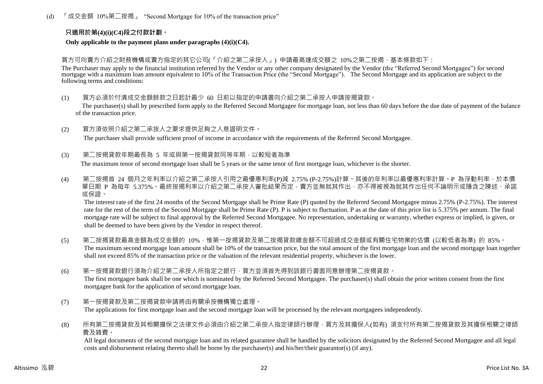(d) 「成交金額 10%第二按揭」 "Second Mortgage for 10% of the transaction price"

#### **只適用於第(4)(i)(C4)段之付款計劃。**

**Only applicable to the payment plans under paragraphs (4)(i)(C4).**

買方可向賣方介紹之財務機構或賣方指定的其它公司(「介紹之第二承按人」) 申請最高達成交額之 10%之第二按揭,基本條款如下:

The Purchaser may apply to the financial institution referred by the Vendor or any other company designated by the Vendor (the "Referred Second Mortgagee") for second mortgage with a maximum loan amount equivalent to 10% of the Transaction Price (the "Second Mortgage"). The Second Mortgage and its application are subject to the following terms and conditions:

(1) 買方必須於付清成交金額餘款之日起計最少 60 日前以指定的申請書向介紹之第二承按人申請按揭貸款。

The purchaser(s) shall by prescribed form apply to the Referred Second Mortgagee for mortgage loan, not less than 60 days before the due date of payment of the balance of the transaction price.

(2) 買方須依照介紹之第二承按人之要求提供足夠之入息證明文件。

The purchaser shall provide sufficient proof of income in accordance with the requirements of the Referred Second Mortgagee.

(3) 第二按揭貸款年期最長為 5 年或與第一按揭貸款同等年期,以較短者為準

The maximum tenor of second mortgage loan shall be 5 years or the same tenor of first mortgage loan, whichever is the shorter.

(4) 第二按揭首 24 個月之年利率以介紹之第二承按人引用之最優惠利率(P)減 2.75% (P-2.75%)計算。其後的年利率以最優惠利率計算。P 為浮動利率,於本價 單日期 P 為每年 5.375%。最終按揭利率以介紹之第二承按人審批結果而定,賣方並無就其作出,亦不得被視為就其作出任何不論明示或隱含之陳述、承諾 或保證。

The interest rate of the first 24 months of the Second Mortgage shall be Prime Rate (P) quoted by the Referred Second Mortgagee minus 2.75% (P-2.75%). The interest rate for the rest of the term of the Second Mortgage shall be Prime Rate (P). P is subject to fluctuation. P as at the date of this price list is 5.375% per annum. The final mortgage rate will be subject to final approval by the Referred Second Mortgagee. No representation, undertaking or warranty, whether express or implied, is given, or shall be deemed to have been given by the Vendor in respect thereof.

- (5) 第二按揭貸款最高金額為成交金額的 10%,惟第一按揭貸款及第二按揭貸款總金額不可超過成交金額或有關住宅物業的估價 (以較低者為準) 的 85%。 The maximum second mortgage loan amount shall be 10% of the transaction price, but the total amount of the first mortgage loan and the second mortgage loan together shall not exceed 85% of the transaction price or the valuation of the relevant residential property, whichever is the lower.
- (6) 第一按揭貸款銀行須為介紹之第二承按人所指定之銀行,買方並須首先得到該銀行書面同意辦理第二按揭貸款。 The first mortgagee bank shall be one which is nominated by the Referred Second Mortgagee. The purchaser(s) shall obtain the prior written consent from the first mortgagee bank for the application of second mortgage loan.
- (7) 第一按揭貸款及第二按揭貸款申請將由有關承按機構獨立處理。 The applications for first mortgage loan and the second mortgage loan will be processed by the relevant mortgagees independently.
- (8) 所有第二按揭貸款及其相關擔保之法律文件必須由介紹之第二承按人指定律師行辦理,買方及其擔保人(如有) 須支付所有第二按揭貸款及其擔保相關之律師 費及雜費。

All legal documents of the second mortgage loan and its related guarantee shall be handled by the solicitors designated by the Referred Second Mortgagee and all legal costs and disbursement relating thereto shall be borne by the purchaser(s) and his/her/their guarantor(s) (if any).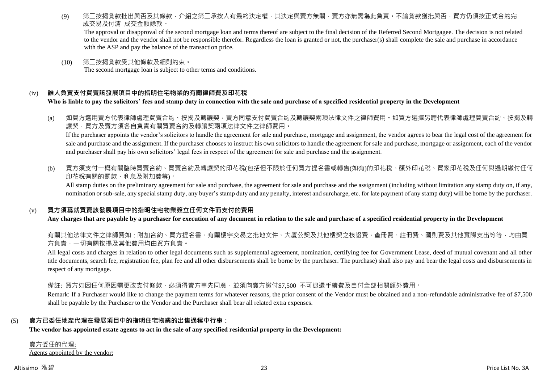(9) 第二按揭貸款批出與否及其條款,介紹之第二承按人有最終決定權,其決定與賣方無關,賣方亦無需為此負責。不論貸款獲批與否,買方仍須按正式合約完 成交易及付清 成交金額餘款。

The approval or disapproval of the second mortgage loan and terms thereof are subject to the final decision of the Referred Second Mortgagee. The decision is not related to the vendor and the vendor shall not be responsible therefor. Regardless the loan is granted or not, the purchaser(s) shall complete the sale and purchase in accordance with the ASP and pay the balance of the transaction price.

(10) 第二按揭貸款受其他條款及細則約束。 The second mortgage loan is subject to other terms and conditions.

### (iv) **誰人負責支付買賣該發展項目中的指明住宅物業的有關律師費及印花稅**

**Who is liable to pay the solicitors' fees and stamp duty in connection with the sale and purchase of a specified residential property in the Development**

(a) 如買方選用賣方代表律師處理買賣合約、按揭及轉讓契,賣方同意支付買賣合約及轉讓契兩項法律文件之律師費用。如買方選擇另聘代表律師處理買賣合約、按揭及轉 讓契,買方及賣方須各自負責有關買賣合約及轉讓契兩項法律文件之律師費用。

If the purchaser appoints the vendor's solicitors to handle the agreement for sale and purchase, mortgage and assignment, the vendor agrees to bear the legal cost of the agreement for sale and purchase and the assignment. If the purchaser chooses to instruct his own solicitors to handle the agreement for sale and purchase, mortgage or assignment, each of the vendor and purchaser shall pay his own solicitors' legal fees in respect of the agreement for sale and purchase and the assignment.

(b) 買方須支付一概有關臨時買賣合約、買賣合約及轉讓契的印花稅(包括但不限於任何買方提名書或轉售(如有)的印花稅、額外印花稅、買家印花稅及任何與過期繳付任何 印花稅有關的罰款、利息及附加費等)。

All stamp duties on the preliminary agreement for sale and purchase, the agreement for sale and purchase and the assignment (including without limitation any stamp duty on, if any, nomination or sub-sale, any special stamp duty, any buyer's stamp duty and any penalty, interest and surcharge, etc. for late payment of any stamp duty) will be borne by the purchaser.

#### (v) **買方須爲就買賣該發展項目中的指明住宅物業簽立任何文件而支付的費用**

**Any charges that are payable by a purchaser for execution of any document in relation to the sale and purchase of a specified residential property in the Development**

有關其他法律文件之律師費如:附加合約、買方提名書、有關樓宇交易之批地文件、大廈公契及其他樓契之核證費、查冊費、註冊費、圖則費及其他實際支出等等,均由買 方負責,一切有關按揭及其他費用均由買方負責。

All legal costs and charges in relation to other legal documents such as supplemental agreement, nomination, certifying fee for Government Lease, deed of mutual covenant and all other title documents, search fee, registration fee, plan fee and all other disbursements shall be borne by the purchaser. The purchase) shall also pay and bear the legal costs and disbursements in respect of any mortgage.

備註: 買方如因任何原因需更改支付條款,必須得賣方事先同意,並須向賣方繳付\$7,500 不可狠還手續費及自付全部相關額外費用。

Remark: If a Purchaser would like to change the payment terms for whatever reasons, the prior consent of the Vendor must be obtained and a non-refundable administrative fee of \$7,500 shall be payable by the Purchaser to the Vendor and the Purchaser shall bear all related extra expenses.

#### (5) **賣方已委任地產代理在發展項目中的指明住宅物業的出售過程中行事:**

**The vendor has appointed estate agents to act in the sale of any specified residential property in the Development:**

賣方委任的代理: Agents appointed by the vendor: